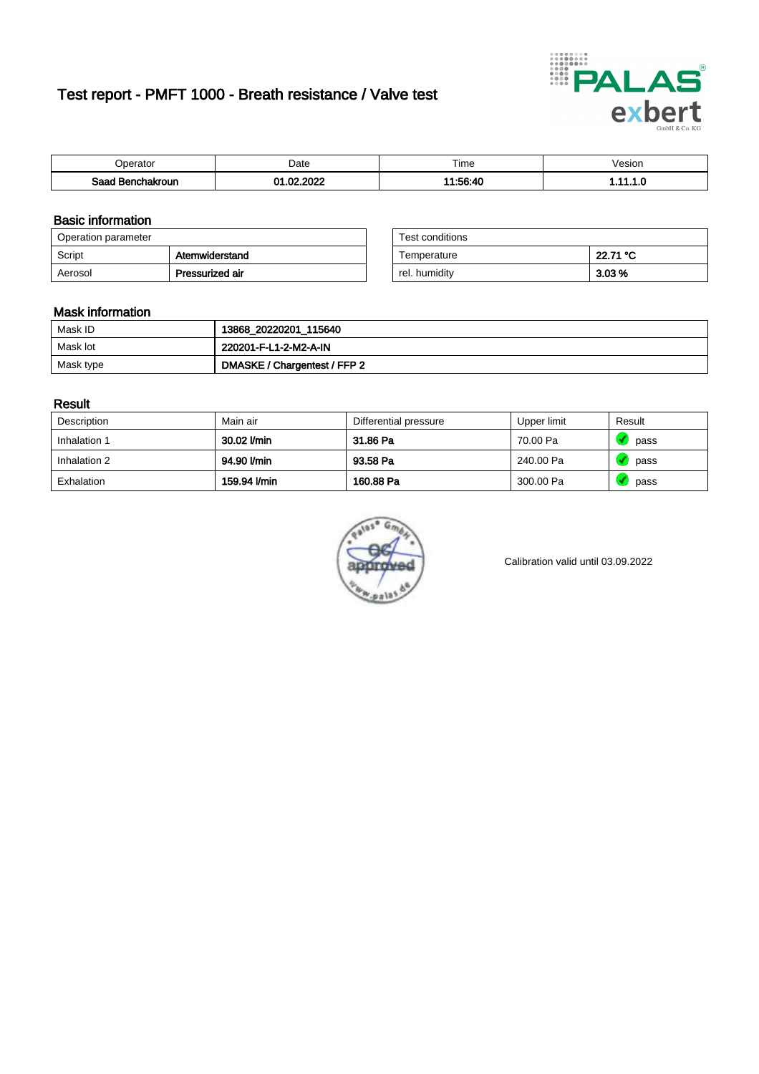# Test report - PMFT 1000 - Breath resistance / Valve test



| )perator                  | Date                          | $- \cdot$<br>Fime | /esion |
|---------------------------|-------------------------------|-------------------|--------|
| Sood .<br>hakroun<br>saac | . ooon<br>- CO<br>$\sim$<br>w | $11 - 56 - 10$    | .      |

### Basic information

| Operation parameter |                 | Test conditions |          |
|---------------------|-----------------|-----------------|----------|
| Script              | Atemwiderstand  | Temperature     | 22.71 °C |
| Aerosol             | Pressurized air | rel. humiditv   | $3.03\%$ |

| Test conditions |          |
|-----------------|----------|
| Temperature     | 22.71 °C |
| rel. humidity   | 3.03%    |

#### Mask information

| Mask ID   | 13868_20220201_115640        |
|-----------|------------------------------|
| Mask lot  | 220201-F-L1-2-M2-A-IN        |
| Mask type | DMASKE / Chargentest / FFP 2 |

### Result

| Description  | Main air     | Differential pressure | Upper limit | Result |
|--------------|--------------|-----------------------|-------------|--------|
| Inhalation 1 | 30.02 l/min  | 31.86 Pa              | 70.00 Pa    | pass   |
| Inhalation 2 | 94.90 l/min  | 93.58 Pa              | 240.00 Pa   | pass   |
| Exhalation   | 159.94 l/min | 160.88 Pa             | 300.00 Pa   | pass   |



Calibration valid until 03.09.2022